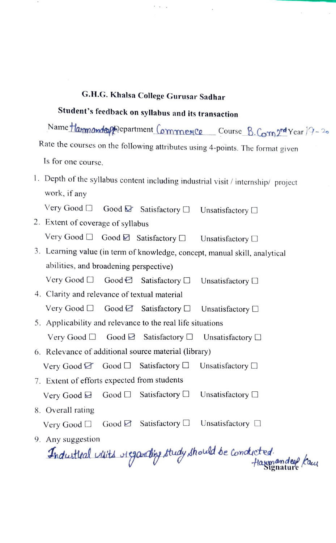## G.H.G. Khalsa College Gurusar Sadhar

## Student's feedback on syllabus and its transaction

Name Hammande pepartment Commence Course B. Com2nd Year 19-20 Rate the courses on the following attributes using 4-points. The format given Is for one course.

. Depth of the syllabus content including industrial visit/ internship/ project work, if any

Very Good  $\Box$  Good  $\Box$  Satisfactory  $\Box$  Unsatisfactory  $\Box$ 

- 2. Extent of coverage of syllabus Very Good  $\Box$  Good  $\Box$  Satisfactory  $\Box$  Unsatisfactory  $\Box$
- 3. Learning value (in term of knowledge, concept, manual skill, analytical abilities, and broadening perspective)

Very Good  $\Box$  Good  $\Box$  Satisfactory  $\Box$  Unsatisfactory  $\Box$ 

- 4. Clarity and relevance of textual material Very Good  $\Box$  Good  $\Box$  Satisfactory  $\Box$  Unsatisfactory  $\Box$
- 5. Applicability and relevance to the real life situations Very Good  $\Box$  Good  $\Box$  Satisfactory  $\Box$  Unsatisfactory  $\Box$
- 6. Relevance of additional source material (library)
	- Very Good  $\Box$  Good  $\Box$  Satisfactory  $\Box$  Unsatisfactory  $\Box$
- 7. Extent of efforts expected from students Very Good  $\Box$  Good  $\Box$  Satisfactory  $\Box$  Unsatisfactory  $\Box$
- 8. Overall rating

Very Good  $\Box$  Good  $\Box$  Satisfactory  $\Box$  Unsatisfactory  $\Box$ 

9. Any suggestion

Any suggestion<br>Industical visits riggarding study should be conducted. Haymandeef Kau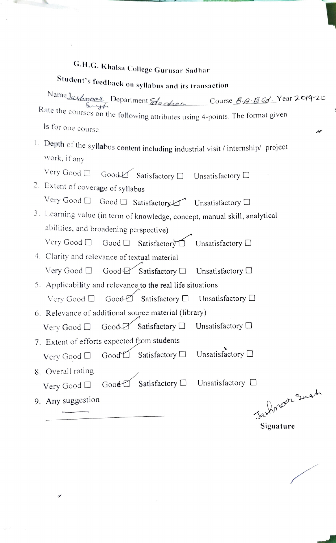# G.H.G. Khalsa College Gurusar Sadhar

# Student's feedback on syllabus and its transaction

Name Jashnoor Department Eduction Course BA BEd. Year 2019-20 Rate the courses on the following attributes using 4-points. The format given

Is for one course.

1. Depth of the syllabus content including industrial visit  $\ell$  internship $\ell$  project work, if any

Very Good Good Satisfactory D Unsatisfactory D

- 2. Extent of coverage of syllabus<br>Very Good  $\Box$  Good  $\Box$  Satisfactory  $\Box$  Unsatisfactory  $\Box$
- 3. Learning value (in term of knowledge, concept, manual skill, analytical abilities, and broadening perspective)
	- Very Good  $\Box$  Good  $\Box$  Satisfactory  $\Box$  Unsatisfactory  $\Box$
- 4. Clarity and relevance of textual material Very Good  $\Box$  Good  $\Box$  Satisfactory  $\Box$  Unsatisfactory  $\Box$
- 5. Applicability and relevance to the real life situations Very Good Good Satisfactory D Unsatisfactory D
- 6. Relevance of additional source material (library) Very Good  $\Box$  Good  $\Box$  Satisfactory  $\Box$  Unsatisfactory  $\Box$
- 7. Extent of efforts expected from students

Very Good  $\Box$  Good Satisfactory  $\Box$  Unsatisfactory  $\Box$ 

- 8. Overall rating Very Good Good Satisfactory D Unsatisfactory D
	-

9. Any suggestion

Jarknoon smat Signature